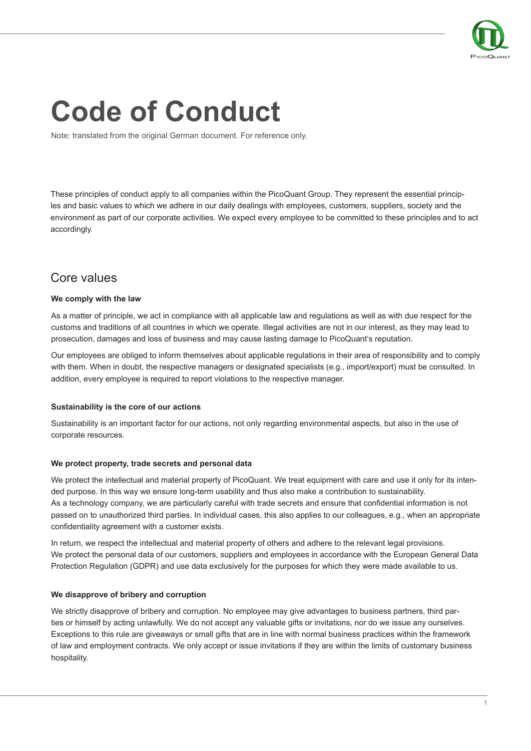

# **Code of Conduct**

Note: translated from the original German document. For reference only.

These principles of conduct apply to all companies within the PicoQuant Group. They represent the essential principles and basic values to which we adhere in our daily dealings with employees, customers, suppliers, society and the environment as part of our corporate activities. We expect every employee to be committed to these principles and to act accordingly.

## Core values

#### **We comply with the law**

As a matter of principle, we act in compliance with all applicable law and regulations as well as with due respect for the customs and traditions of all countries in which we operate. Illegal activities are not in our interest, as they may lead to prosecution, damages and loss of business and may cause lasting damage to PicoQuant's reputation.

Our employees are obliged to inform themselves about applicable regulations in their area of responsibility and to comply with them. When in doubt, the respective managers or designated specialists (e.g., import/export) must be consulted. In addition, every employee is required to report violations to the respective manager.

#### **Sustainability is the core of our actions**

Sustainability is an important factor for our actions, not only regarding environmental aspects, but also in the use of corporate resources.

#### **We protect property, trade secrets and personal data**

We protect the intellectual and material property of PicoQuant. We treat equipment with care and use it only for its intended purpose. In this way we ensure long-term usability and thus also make a contribution to sustainability. As a technology company, we are particularly careful with trade secrets and ensure that confidential information is not passed on to unauthorized third parties. In individual cases, this also applies to our colleagues, e.g., when an appropriate confidentiality agreement with a customer exists.

In return, we respect the intellectual and material property of others and adhere to the relevant legal provisions. We protect the personal data of our customers, suppliers and employees in accordance with the European General Data Protection Regulation (GDPR) and use data exclusively for the purposes for which they were made available to us.

#### **We disapprove of bribery and corruption**

We strictly disapprove of bribery and corruption. No employee may give advantages to business partners, third parties or himself by acting unlawfully. We do not accept any valuable gifts or invitations, nor do we issue any ourselves. Exceptions to this rule are giveaways or small gifts that are in line with normal business practices within the framework of law and employment contracts. We only accept or issue invitations if they are within the limits of customary business hospitality.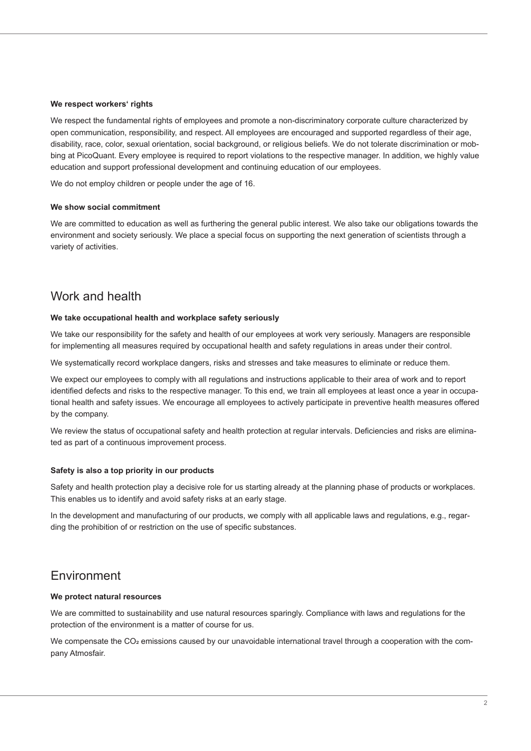#### **We respect workers' rights**

We respect the fundamental rights of employees and promote a non-discriminatory corporate culture characterized by open communication, responsibility, and respect. All employees are encouraged and supported regardless of their age, disability, race, color, sexual orientation, social background, or religious beliefs. We do not tolerate discrimination or mobbing at PicoQuant. Every employee is required to report violations to the respective manager. In addition, we highly value education and support professional development and continuing education of our employees.

We do not employ children or people under the age of 16.

#### **We show social commitment**

We are committed to education as well as furthering the general public interest. We also take our obligations towards the environment and society seriously. We place a special focus on supporting the next generation of scientists through a variety of activities.

## Work and health

#### **We take occupational health and workplace safety seriously**

We take our responsibility for the safety and health of our employees at work very seriously. Managers are responsible for implementing all measures required by occupational health and safety regulations in areas under their control.

We systematically record workplace dangers, risks and stresses and take measures to eliminate or reduce them.

We expect our employees to comply with all regulations and instructions applicable to their area of work and to report identified defects and risks to the respective manager. To this end, we train all employees at least once a year in occupational health and safety issues. We encourage all employees to actively participate in preventive health measures offered by the company.

We review the status of occupational safety and health protection at regular intervals. Deficiencies and risks are eliminated as part of a continuous improvement process.

#### **Safety is also a top priority in our products**

Safety and health protection play a decisive role for us starting already at the planning phase of products or workplaces. This enables us to identify and avoid safety risks at an early stage.

In the development and manufacturing of our products, we comply with all applicable laws and regulations, e.g., regarding the prohibition of or restriction on the use of specific substances.

### Environment

#### **We protect natural resources**

We are committed to sustainability and use natural resources sparingly. Compliance with laws and regulations for the protection of the environment is a matter of course for us.

We compensate the  $CO<sub>2</sub>$  emissions caused by our unavoidable international travel through a cooperation with the company Atmosfair.